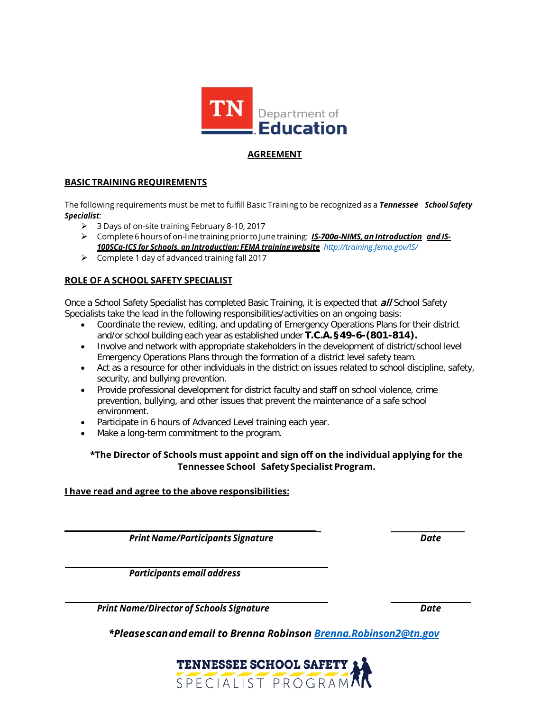

# **AGREEMENT**

# **BASIC TRAINING REQUIREMENTS**

The following requirements must be met to fulfill Basic Training to be recognized as a *Tennessee School Safety Specialist:*

- 3 Days of on-site training February 8-10, 2017
- Complete 6 hours of on-line training prior to June training: *IS-700a-NIMS,anIntroduction and IS-100SCa-ICS for Schools, an Introduction: FEMA training website <http://training.fema.gov/IS/>*
- $\triangleright$  Complete 1 day of advanced training fall 2017

# **ROLE OF A SCHOOL SAFETY SPECIALIST**

Once a School Safety Specialist has completed Basic Training, it is expected that **all** School Safety Specialists take the lead in the following responsibilities/activities on an ongoing basis:

- Coordinate the review, editing, and updating of Emergency Operations Plans for their district and/or school building each year as established under **T.C.A. §49-6-(801-814).**
- Involve and network with appropriate stakeholders in the development of district/school level Emergency Operations Plans through the formation of a district level safety team.
- Act as a resource for other individuals in the district on issues related to school discipline, safety, security, and bullying prevention.
- Provide professional development for district faculty and staff on school violence, crime prevention, bullying, and other issues that prevent the maintenance of a safe school environment.
- Participate in 6 hours of Advanced Level training each year.
- Make a long-term commitment to the program.

# **\*The Director of Schools must appoint and sign off on the individual applying for the Tennessee School Safety Specialist Program.**

# **I have read and agree to the above responsibilities:**

 **\_** *Print Name/Participants Signature Date*

*Participants email address*

*Print Name/Director of Schools Signature Date*

*\*Pleasescanandemail to Brenna Robinson [Brenna.Robinson2@tn.gov](mailto:Brenna.Robinson2@tn.gov)*